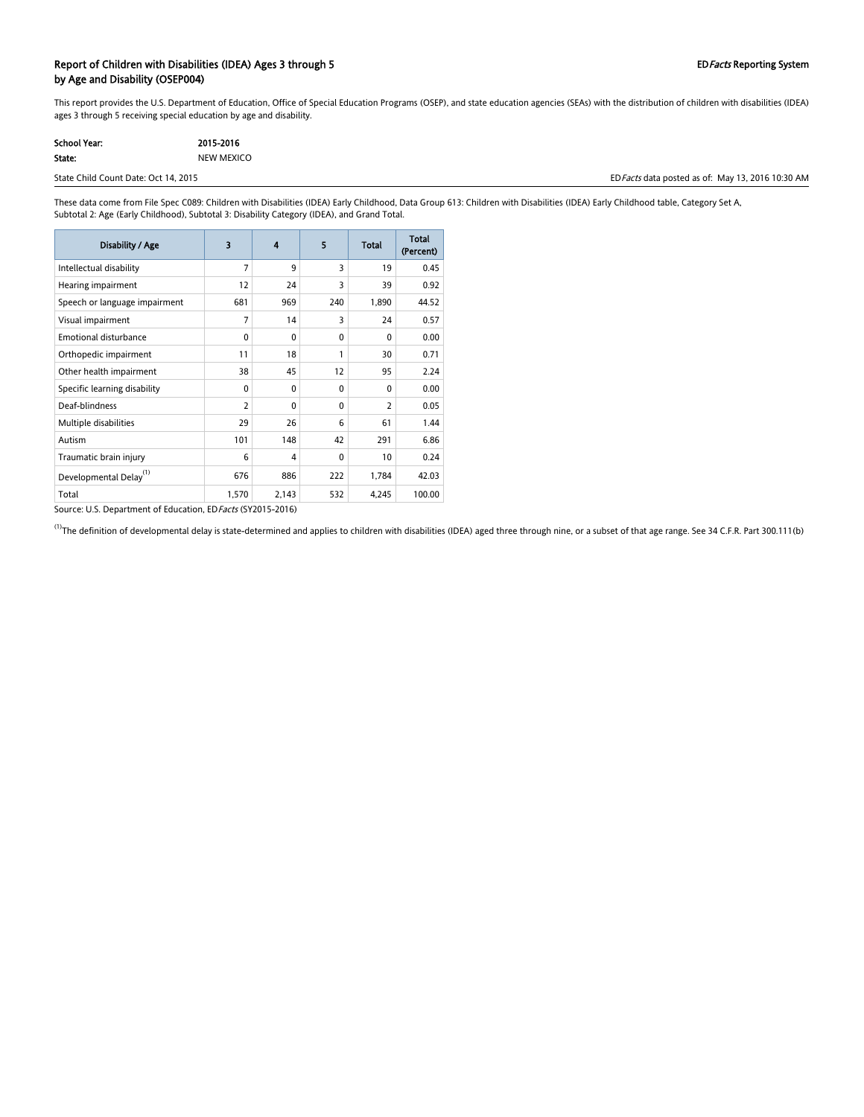#### Report of Children with Disabilities (IDEA) Ages 3 through 5 EDFacts Reporting System by Age and Disability (OSEP004)

This report provides the U.S. Department of Education, Office of Special Education Programs (OSEP), and state education agencies (SEAs) with the distribution of children with disabilities (IDEA) ages 3 through 5 receiving special education by age and disability.

| School Year: | 2015-2016  |
|--------------|------------|
| State:       | NEW MEXICO |

State Child Count Date: Oct 14, 2015 Count Date: Oct 14, 2015 Counter as of: May 13, 2016 10:30 AM

These data come from File Spec C089: Children with Disabilities (IDEA) Early Childhood, Data Group 613: Children with Disabilities (IDEA) Early Childhood table, Category Set A, Subtotal 2: Age (Early Childhood), Subtotal 3: Disability Category (IDEA), and Grand Total.

| Disability / Age                                             | 3              | 4        | 5        | Total          | <b>Total</b><br>(Percent) |
|--------------------------------------------------------------|----------------|----------|----------|----------------|---------------------------|
| Intellectual disability                                      | 7              | 9        | 3        | 19             | 0.45                      |
| Hearing impairment                                           | 12             | 24       | 3        | 39             | 0.92                      |
| Speech or language impairment                                | 681            | 969      | 240      | 1,890          | 44.52                     |
| Visual impairment                                            | 7              | 14       | 3        | 24             | 0.57                      |
| <b>Emotional disturbance</b>                                 | 0              | 0        | $\Omega$ | $\mathbf{0}$   | 0.00                      |
| Orthopedic impairment                                        | 11             | 18       | 1        | 30             | 0.71                      |
| Other health impairment                                      | 38             | 45       | 12       | 95             | 2.24                      |
| Specific learning disability                                 | 0              | 0        | $\Omega$ | $\mathbf{0}$   | 0.00                      |
| Deaf-blindness                                               | $\overline{2}$ | $\Omega$ | $\Omega$ | $\overline{2}$ | 0.05                      |
| Multiple disabilities                                        | 29             | 26       | 6        | 61             | 1.44                      |
| Autism                                                       | 101            | 148      | 42       | 291            | 6.86                      |
| Traumatic brain injury                                       | 6              | 4        | $\Omega$ | 10             | 0.24                      |
| Developmental Delay <sup>(1)</sup>                           | 676            | 886      | 222      | 1,784          | 42.03                     |
| Total                                                        | 1,570          | 2,143    | 532      | 4,245          | 100.00                    |
| Source: U.S. Department of Education, ED Facts (SY2015-2016) |                |          |          |                |                           |

 $^{(1)}$ The definition of developmental delay is state-determined and applies to children with disabilities (IDEA) aged three through nine, or a subset of that age range. See 34 C.F.R. Part 300.111(b)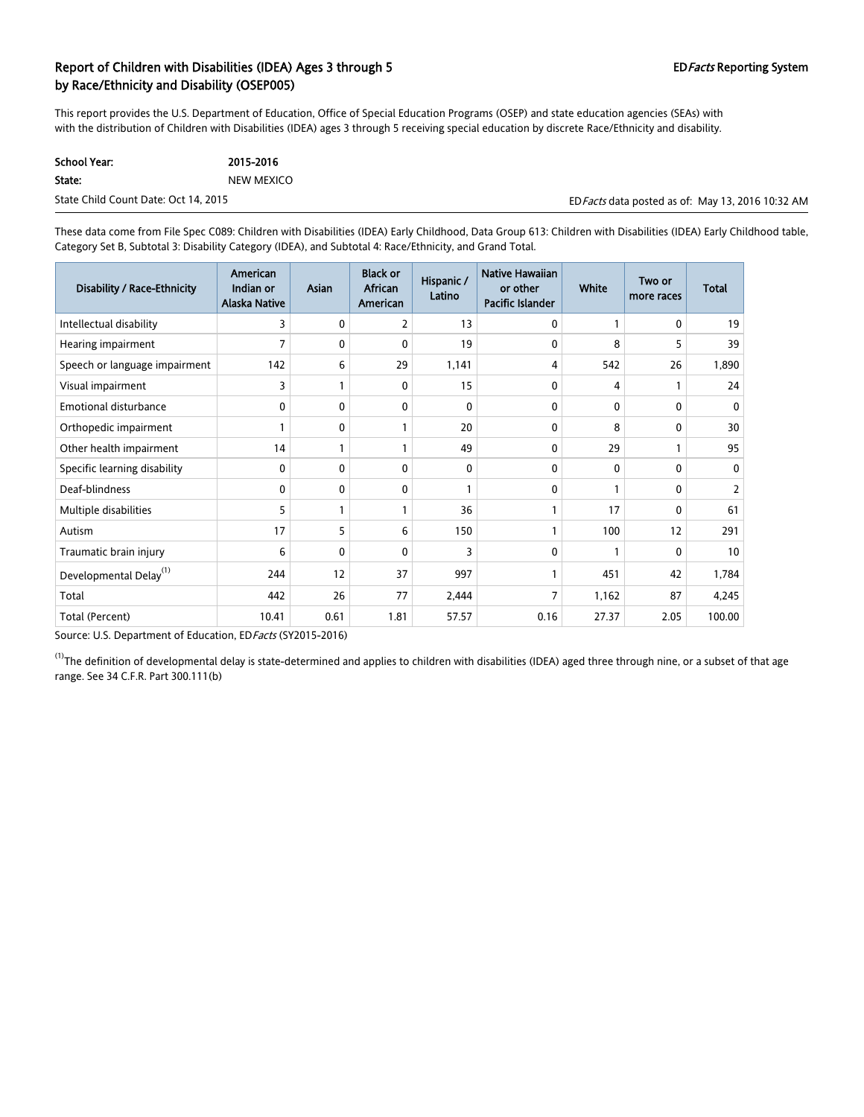# Report of Children with Disabilities (IDEA) Ages 3 through 5 EDFacts Reporting System by Race/Ethnicity and Disability (OSEP005)

This report provides the U.S. Department of Education, Office of Special Education Programs (OSEP) and state education agencies (SEAs) with with the distribution of Children with Disabilities (IDEA) ages 3 through 5 receiving special education by discrete Race/Ethnicity and disability.

| School Year:                         | 2015-2016  |
|--------------------------------------|------------|
| State:                               | NEW MEXICO |
| State Child Count Date: Oct 14, 2015 |            |

ED Facts data posted as of: May 13, 2016 10:32 AM

These data come from File Spec C089: Children with Disabilities (IDEA) Early Childhood, Data Group 613: Children with Disabilities (IDEA) Early Childhood table, Category Set B, Subtotal 3: Disability Category (IDEA), and Subtotal 4: Race/Ethnicity, and Grand Total.

| <b>Disability / Race-Ethnicity</b> | American<br>Indian or<br>Alaska Native | Asian | <b>Black or</b><br>African<br>American | Hispanic /<br>Latino | Native Hawaiian<br>or other<br>Pacific Islander | <b>White</b> | Two or<br>more races | Total          |
|------------------------------------|----------------------------------------|-------|----------------------------------------|----------------------|-------------------------------------------------|--------------|----------------------|----------------|
| Intellectual disability            | 3                                      | 0     | 2                                      | 13                   | $\mathbf{0}$                                    |              | $\mathbf{0}$         | 19             |
| Hearing impairment                 | 7                                      | 0     | 0                                      | 19                   | 0                                               | 8            | 5                    | 39             |
| Speech or language impairment      | 142                                    | 6     | 29                                     | 1,141                | 4                                               | 542          | 26                   | 1,890          |
| Visual impairment                  | 3                                      |       | 0                                      | 15                   | 0                                               | 4            |                      | 24             |
| <b>Emotional disturbance</b>       | 0                                      | 0     | 0                                      | $\Omega$             | $\mathbf{0}$                                    | $\Omega$     | 0                    | $\Omega$       |
| Orthopedic impairment              | 1                                      | 0     |                                        | 20                   | $\mathbf 0$                                     | 8            | 0                    | 30             |
| Other health impairment            | 14                                     |       |                                        | 49                   | 0                                               | 29           |                      | 95             |
| Specific learning disability       | 0                                      | 0     | 0                                      | 0                    | 0                                               | 0            | 0                    | 0              |
| Deaf-blindness                     | 0                                      | 0     | $\mathbf{0}$                           |                      | 0                                               |              | 0                    | $\overline{2}$ |
| Multiple disabilities              | 5                                      |       |                                        | 36                   |                                                 | 17           | 0                    | 61             |
| Autism                             | 17                                     | 5     | 6                                      | 150                  |                                                 | 100          | 12                   | 291            |
| Traumatic brain injury             | 6                                      | 0     | $\mathbf{0}$                           | 3                    | $\mathbf{0}$                                    |              | 0                    | 10             |
| Developmental Delay <sup>(1)</sup> | 244                                    | 12    | 37                                     | 997                  |                                                 | 451          | 42                   | 1,784          |
| Total                              | 442                                    | 26    | 77                                     | 2,444                | 7                                               | 1,162        | 87                   | 4,245          |
| Total (Percent)                    | 10.41                                  | 0.61  | 1.81                                   | 57.57                | 0.16                                            | 27.37        | 2.05                 | 100.00         |

Source: U.S. Department of Education, ED Facts (SY2015-2016)

 $^{(1)}$ The definition of developmental delay is state-determined and applies to children with disabilities (IDEA) aged three through nine, or a subset of that age range. See 34 C.F.R. Part 300.111(b)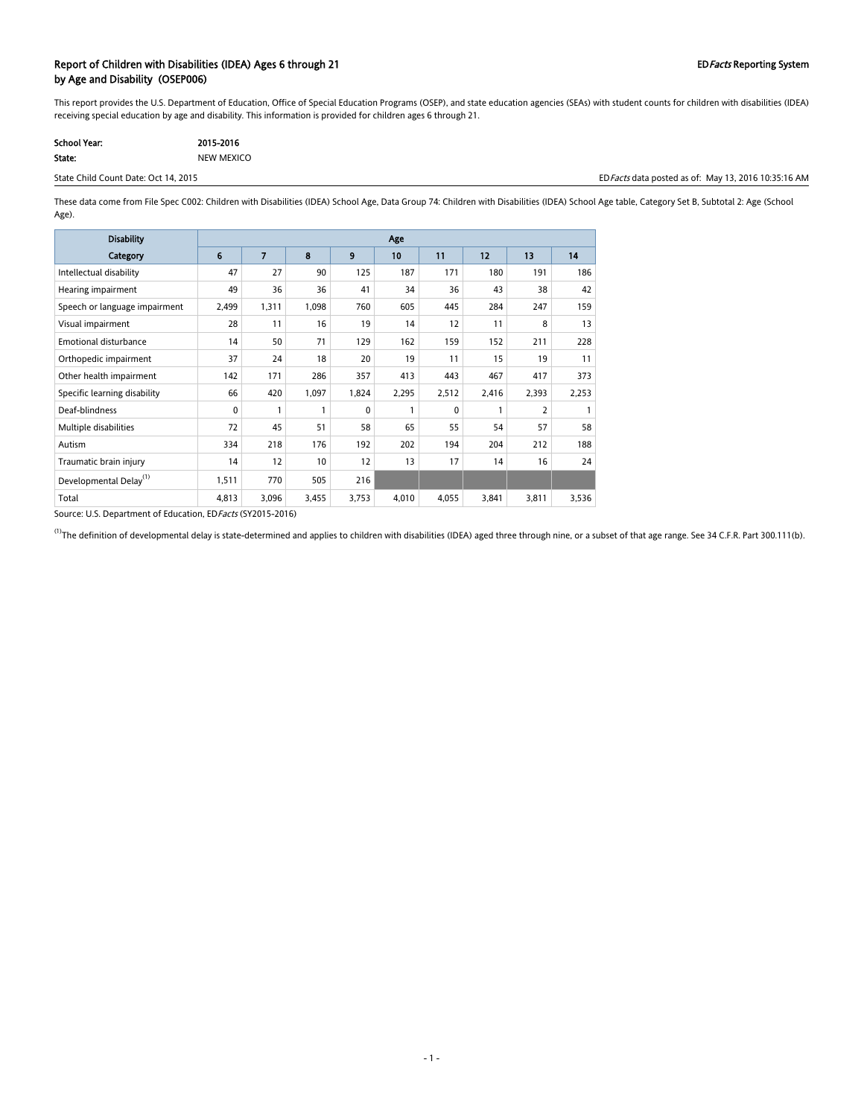## Report of Children with Disabilities (IDEA) Ages 6 through 21 EDFacts Reporting System by Age and Disability (OSEP006)

This report provides the U.S. Department of Education, Office of Special Education Programs (OSEP), and state education agencies (SEAs) with student counts for children with disabilities (IDEA) receiving special education by age and disability. This information is provided for children ages 6 through 21.

| School Year: | 2015-2016  |
|--------------|------------|
| State:       | NEW MEXICO |

State Child Count Date: Oct 14, 2015 Count Date: Oct 14, 2015 Counter as of: May 13, 2016 10:35:16 AM

These data come from File Spec C002: Children with Disabilities (IDEA) School Age, Data Group 74: Children with Disabilities (IDEA) School Age table, Category Set B, Subtotal 2: Age (School Age).

| <b>Disability</b>                  | Age             |       |       |       |       |          |       |                |       |
|------------------------------------|-----------------|-------|-------|-------|-------|----------|-------|----------------|-------|
| Category                           | $6\phantom{1}6$ | 7     | 8     | 9     | 10    | 11       | 12    | 13             | 14    |
| Intellectual disability            | 47              | 27    | 90    | 125   | 187   | 171      | 180   | 191            | 186   |
| Hearing impairment                 | 49              | 36    | 36    | 41    | 34    | 36       | 43    | 38             | 42    |
| Speech or language impairment      | 2,499           | 1,311 | 1,098 | 760   | 605   | 445      | 284   | 247            | 159   |
| Visual impairment                  | 28              | 11    | 16    | 19    | 14    | 12       | 11    | 8              | 13    |
| <b>Emotional disturbance</b>       | 14              | 50    | 71    | 129   | 162   | 159      | 152   | 211            | 228   |
| Orthopedic impairment              | 37              | 24    | 18    | 20    | 19    | 11       | 15    | 19             | 11    |
| Other health impairment            | 142             | 171   | 286   | 357   | 413   | 443      | 467   | 417            | 373   |
| Specific learning disability       | 66              | 420   | 1,097 | 1,824 | 2,295 | 2,512    | 2,416 | 2,393          | 2,253 |
| Deaf-blindness                     | 0               | 1     | 1     | 0     | 1     | $\Omega$ | 1     | $\overline{2}$ | 1     |
| Multiple disabilities              | 72              | 45    | 51    | 58    | 65    | 55       | 54    | 57             | 58    |
| Autism                             | 334             | 218   | 176   | 192   | 202   | 194      | 204   | 212            | 188   |
| Traumatic brain injury             | 14              | 12    | 10    | 12    | 13    | 17       | 14    | 16             | 24    |
| Developmental Delay <sup>(1)</sup> | 1,511           | 770   | 505   | 216   |       |          |       |                |       |
| Total                              | 4,813           | 3,096 | 3,455 | 3,753 | 4,010 | 4,055    | 3,841 | 3,811          | 3,536 |

Source: U.S. Department of Education, EDFacts (SY2015-2016)

 $^{(1)}$ The definition of developmental delay is state-determined and applies to children with disabilities (IDEA) aged three through nine, or a subset of that age range. See 34 C.F.R. Part 300.111(b).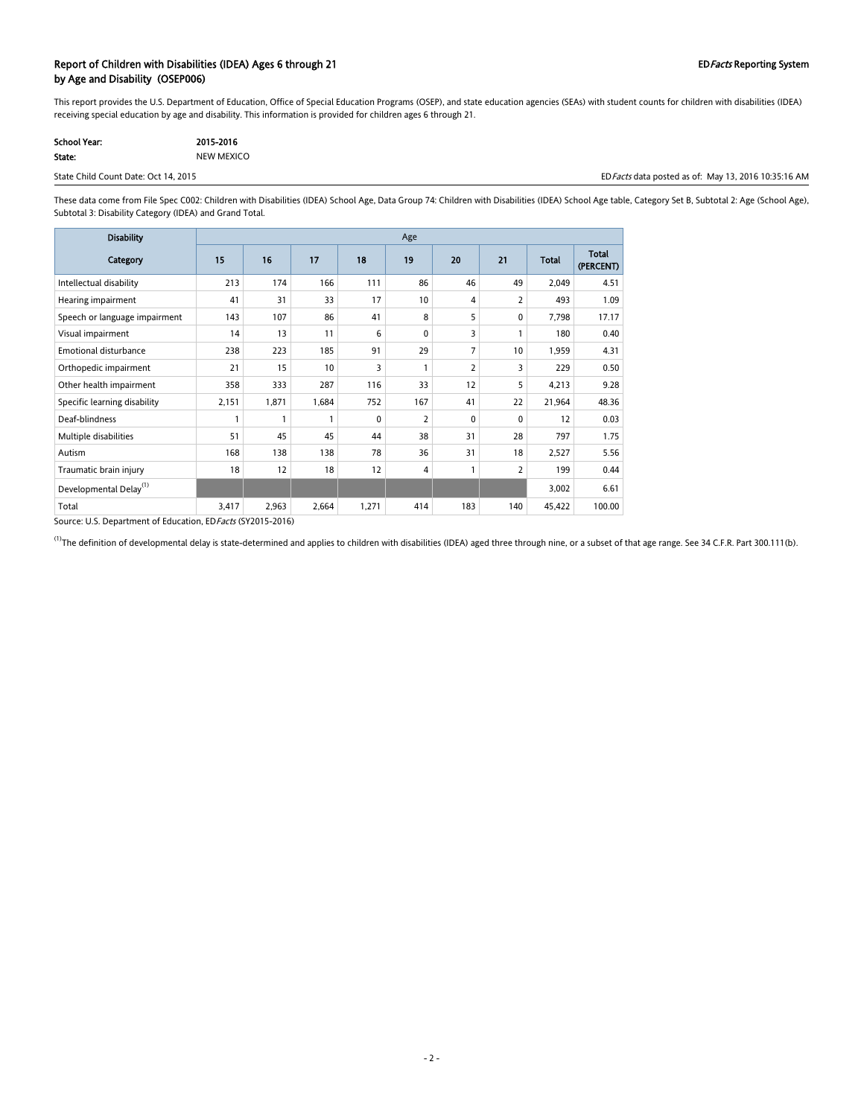### Report of Children with Disabilities (IDEA) Ages 6 through 21 EDFacts Reporting System by Age and Disability (OSEP006)

This report provides the U.S. Department of Education, Office of Special Education Programs (OSEP), and state education agencies (SEAs) with student counts for children with disabilities (IDEA) receiving special education by age and disability. This information is provided for children ages 6 through 21.

| <b>School Year:</b> | 2015-2016  |
|---------------------|------------|
| State:              | NEW MEXICO |

State Child Count Date: Oct 14, 2015 Count Date: Oct 14, 2015 COUNTER AM A LOCAL DATE: THE STATE AM A LOCAL DATE: THE STATE AM A LOCAL DATE: THE STATE AM A LOCAL DATE: THE STATE AM A LOCAL DATE: THE STATE AM A LOCAL DATE:

These data come from File Spec C002: Children with Disabilities (IDEA) School Age, Data Group 74: Children with Disabilities (IDEA) School Age table, Category Set B, Subtotal 2: Age (School Age), Subtotal 3: Disability Category (IDEA) and Grand Total.

| <b>Disability</b>                  | Age   |       |       |       |                |                |                |              |                           |
|------------------------------------|-------|-------|-------|-------|----------------|----------------|----------------|--------------|---------------------------|
| Category                           | 15    | 16    | 17    | 18    | 19             | 20             | 21             | <b>Total</b> | <b>Total</b><br>(PERCENT) |
| Intellectual disability            | 213   | 174   | 166   | 111   | 86             | 46             | 49             | 2,049        | 4.51                      |
| Hearing impairment                 | 41    | 31    | 33    | 17    | 10             | 4              | 2              | 493          | 1.09                      |
| Speech or language impairment      | 143   | 107   | 86    | 41    | 8              | 5              | $\Omega$       | 7,798        | 17.17                     |
| Visual impairment                  | 14    | 13    | 11    | 6     | 0              | 3              |                | 180          | 0.40                      |
| <b>Emotional disturbance</b>       | 238   | 223   | 185   | 91    | 29             | $\overline{7}$ | 10             | 1,959        | 4.31                      |
| Orthopedic impairment              | 21    | 15    | 10    | 3     | $\mathbf{1}$   | 2              | 3              | 229          | 0.50                      |
| Other health impairment            | 358   | 333   | 287   | 116   | 33             | 12             | 5              | 4,213        | 9.28                      |
| Specific learning disability       | 2,151 | 1,871 | 1,684 | 752   | 167            | 41             | 22             | 21,964       | 48.36                     |
| Deaf-blindness                     |       | 1     | 1     | 0     | $\overline{2}$ | 0              | 0              | 12           | 0.03                      |
| Multiple disabilities              | 51    | 45    | 45    | 44    | 38             | 31             | 28             | 797          | 1.75                      |
| Autism                             | 168   | 138   | 138   | 78    | 36             | 31             | 18             | 2,527        | 5.56                      |
| Traumatic brain injury             | 18    | 12    | 18    | 12    | 4              |                | $\overline{2}$ | 199          | 0.44                      |
| Developmental Delay <sup>(1)</sup> |       |       |       |       |                |                |                | 3,002        | 6.61                      |
| Total                              | 3,417 | 2,963 | 2,664 | 1,271 | 414            | 183            | 140            | 45,422       | 100.00                    |

Source: U.S. Department of Education, EDFacts (SY2015-2016)

 $^{(1)}$ The definition of developmental delay is state-determined and applies to children with disabilities (IDEA) aged three through nine, or a subset of that age range. See 34 C.F.R. Part 300.111(b).